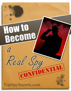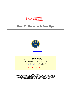

**TOP SECRET REPORT**

# How To Become A Real Spy



2010 [TopSpySecrets.com](http://www.topspysecrets.com/)

#### Important Notice

This report is a free gift for all subscribers to "Messages from U.N.C.L.E". If you got it without subscribing, I ask you to play fair, [subscribe now!](http://www.topspysecrets.com/espionage-news.html) It's free and fun!

**Please Keep Confidential!**

#### Legal Stuff

**ALL RIGHTS RESERVED.** No part of this publication may be reproduced, stored or transmitted in any form, for any reason or by any means, whether re-drawn, enlarged or otherwise altered including mechanical, photocopy, digital storage & retrieval or otherwise, without the prior permission in writing from both the copyright owner and the publisher.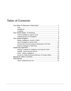# Table of Contents

| Government Communications Headquarters (GCHQ) 10             |
|--------------------------------------------------------------|
|                                                              |
|                                                              |
| Mossad - Institute for Intelligence and Special Tasks  11    |
|                                                              |
|                                                              |
| Center for Political Research/Ministry of Foreign Affairs 13 |
|                                                              |
| 14                                                           |
|                                                              |
|                                                              |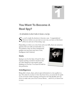1

# <span id="page-3-0"></span>You Want To Become A Real Spy?

#### *An introduction to what it takes to become a real spy.*

o, you've made the decision to become a spy - Congratulations! However, before you can start on your way, you have to first know all the ins and outs of becoming a spy. S

Depending on where you come from and your skills, there are numerous

agencies that can easily accommodate you. Nevertheless, there are three fundamental qualities any good spy must have: Guts, Intelligence and Creativity!

#### <span id="page-3-1"></span>**Guts**

Spying is not for the faint of heart! It often requires putting yourself in situations that are often dangerous and requires quick thinking on your feet. You must be bold for this profession.



# <span id="page-3-2"></span>**Intelligence**

Being able to learn, share, and act upon information is a key quality in a spy. Not only do you have to have the know-how, you must also be quick to do so! In the world of spying you'll need to be both flexible and very clever to make sure your cover is never blown… and if it is, to know how to react.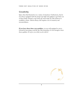# <span id="page-4-0"></span>**Creativity**

Spies often find themselves in a variety of situations. Furthermore, they're not always equipped with the proper spy high-tech gadgets to get them out of these binds. Instead, a top-notch spy must make do with whatever is available to them. Almost always, this requires a lot of creativity and resourcefulness.

**If you have these three core qualities**, you are well equipped to move forward in becoming a real-life spy. But remember, it's not enough to have these qualities. It's up to you what you do with it!

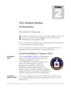# <span id="page-5-0"></span>The United States of America

*How to become a US Special Agent .* 

f you're an American citizen, there are two major agencies that you can work for as a spy: the Central Intelligence Agency (CIA) and the If you're an American citizen, there are twork for as a spy: the Central Intelligent Federal Bureau of Investigation (FBI).

They are both important agencies that use special agents to get their hands on secret information in sensitive matters.

How do you become an agent for each of these agencies? Follow these guidelines for each and you'll surely accomplish your goals!

# <span id="page-5-1"></span>Central Intelligence Agency (CIA)

| <b>The CIA spies</b><br>abroad      | The Central Intelligence Agency is an independent<br>agency of the US government that collects and<br>TELLIGENO<br>CENTRAL<br>coordinates intelligence, as well as<br>counterintelligence, abroad in the interest of the<br>nation. They often engage in covert and<br>paramilitary operations requested by The<br>President to ascertain national security. Their<br>primary function is to gather intelligence regarding<br>foreign governments, corporations and individuals as<br>measures of advisement for at home policymakers. |
|-------------------------------------|----------------------------------------------------------------------------------------------------------------------------------------------------------------------------------------------------------------------------------------------------------------------------------------------------------------------------------------------------------------------------------------------------------------------------------------------------------------------------------------------------------------------------------------|
| You must be a<br>model U.S. citizen | To become a CIA agent you must be a United States citizen. You must<br>have a clean background, meaning no criminal activity or even a poor<br>driving record.                                                                                                                                                                                                                                                                                                                                                                         |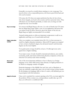|                                   | Generally, you must be a model citizen starting at a very young age. You<br>must be show to be a responsible person, who knows good from bad, and<br>who can be trusted.                                                                                                                    |
|-----------------------------------|---------------------------------------------------------------------------------------------------------------------------------------------------------------------------------------------------------------------------------------------------------------------------------------------|
|                                   | Of course, the CIA does not expect perfection but they do favor those<br>who show integrity, are loyal to the country and have personal values. They<br>will check out your friends and family, so make sure you hang out with<br>people that stay out of trouble!                          |
| Say no to drugs                   | You must avoid illegal drugs at all costs. As a rule of thumb, the CIA states<br>that any illegal drug usage within a year of your application will mean that<br>you cannot work for them. However, given the nature of the job, any<br>illegal drugs are highly recommended to be avoided. |
|                                   | Instead, joining sports or clubs are important components to add on an<br>application and keep you of sound mind and body.                                                                                                                                                                  |
| <b>Higher education</b><br>needed | After you complete your standard school (K-12), it is then necessary to<br>enroll in a higher education institution. Almost all CIA agents are required<br>to have at least a bachelor's degree, but advanced master's and doctorate<br>degrees are the most helpful.                       |
|                                   | Your grade point average should be at least a 3.0 although more active<br>agents have a higher marking.                                                                                                                                                                                     |
|                                   | Your major course of study should be international relations, area studies,<br>economics, math, and science (behavioral, physical, computer) as these are<br>what the CIA actively seeks when recruiting.                                                                                   |
| <b>Know more</b><br>languages     | One of the most important attributes to have is fluency in a foreign<br>language or two. Since field work is done abroad, it is highly productive to<br>be fluent in a language outside of English.                                                                                         |
|                                   | Particular languages of the Middle East and Asia, such as Mandarin or<br>Farsi, are extremely sought after since a lot of work is done in these locales.<br>By developing your language skills to that of a native, will definitely get you<br>in good graces with this institution.        |
| Apply for the job                 | Once you've searched for a current opening at the CIA, you must apply for<br>the position. If they contact you, correspondence usually takes up to 45<br>days, you will receive a conditional offer.                                                                                        |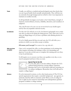| <b>Tests</b>                      | Usually, you will have a medical and psychological exam that checks that<br>you are in good health (both mentally and physically). They will then run<br>an extremely thorough background test (which is why it was important to<br>maintain an excellent record).                                                                                             |
|-----------------------------------|----------------------------------------------------------------------------------------------------------------------------------------------------------------------------------------------------------------------------------------------------------------------------------------------------------------------------------------------------------------|
|                                   | It will specifically investigate your loyalty to the United States, strength of<br>character, trustworthiness, honesty, reliability, discretion, and soundness of<br>judgment.                                                                                                                                                                                 |
|                                   | Also, they'll want to be sure you are not involved in any double-agent<br>activity that can jeopardize national security.                                                                                                                                                                                                                                      |
| Lie detector                      | For this, the CIA will ask you to do a lie detector (polygraph) test to make<br>sure that you did not lie during the hiring process. They often ask if you've<br>taken any illegal drugs or if you have a problem with drinking alcohol or<br>gambling.                                                                                                        |
|                                   | If you've finally passed all these ins and outs, the CIA will offer you a<br>position in which you can either accept or decline.                                                                                                                                                                                                                               |
|                                   | Of course you'd accept! You want to be a spy after all                                                                                                                                                                                                                                                                                                         |
| <b>After you have</b><br>accepted | Once you've accepted the offer, you then participate in job training that<br>often requires relocating. Job training is often very demanding and<br>rigorous. It can take several years to complete this training and even then,<br>it may be probationary.                                                                                                    |
|                                   | It will require you to execute your three core qualities every day, so you<br>must be prepared and know what you want.                                                                                                                                                                                                                                         |
| <b>Military</b>                   | Special Tips for the CIA<br>If you're able, plan to join the military. Despite the CIA's<br>unlisted hiring preference, having military experience<br>illustrates that you're a loyal citizen while pre-screening you<br>for military intelligence. Remember that you'll still need to<br>acquire a college degree!                                            |
| <b>Science</b>                    | If you're interested in science, on the other hand, pursue it! The CIA has<br>special organizations that require a scientific background - spy agencies, in<br>particular, find this skill set extremely useful. When you're in college be<br>sure to apply for the numerous internships and undergraduate/graduate<br>programs available to college students. |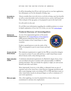It will be demanding, but it'll not only look good on your later application, but will prepare you for the demands of being a spy.

Always consider that every job (even a cool job as being a spy) has benefits as well as some downsides such as location moves, secrecy and long hours. This is all part of the spy game, so be prepared to put in the hard work! Downsides to being a spy

It is all worth it in the end.

If you'd like more information regarding the available positions or a more in-depth explanation of how the CIA works, you can visit: [www.cia.gov](http://www.cia.gov/)

#### <span id="page-8-0"></span>Federal Bureau of Investigation

| <b>National and</b><br>international focus | As one of six represented agencies of the Justice<br>Department, the Federal Bureau of Investigation<br>(FBI) protects federal laws that can stretch<br>from the borders of the United States to other<br>countries.<br>It takes a special person to join the ranks of the<br>40 OF<br>FBI so be prepared to put in some honest and hard<br>work. |
|--------------------------------------------|---------------------------------------------------------------------------------------------------------------------------------------------------------------------------------------------------------------------------------------------------------------------------------------------------------------------------------------------------|
| 23 years old with<br>drivers license       | The minimum requirements to apply for the FBI are somewhat stringent.<br>You must be at least 23 years olds and have a valid United States issued<br>driver's license (with a clean driving record).                                                                                                                                              |
| <b>Higher education</b><br>needed          | A minimum educational requirement of a Bachelor's degree from a four-<br>year accredited university in tandem with a physical ability to fulfill the<br>training and duties. This can include the capacity to fight, use and execute<br>firearms and other such duties.                                                                           |
|                                            | More importantly, however, is the ability to ultimately learn an area of<br>expertise such as law (must have a Juris Doctor), language (proficient and<br>able to pass language exam), accounting (CPA or FBI equivalent exam) or<br>other varied duties (needs an advanced degree as well as a minimum of 3<br>year work experience).            |
| When you apply                             | Also, when applying, you must be prepared for at least a three-year<br>commitment to advance into employment.                                                                                                                                                                                                                                     |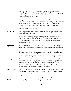|                                          | The FBI views many activities as disqualifications, such as a felony<br>conviction, a current default on your student loan, a history of illegal drug<br>use (passing a drug test is a requirement) and never registering for selective<br>service (generally for men only).                                                                                 |
|------------------------------------------|--------------------------------------------------------------------------------------------------------------------------------------------------------------------------------------------------------------------------------------------------------------------------------------------------------------------------------------------------------------|
|                                          | The application process requires you submit all addresses and dates of<br>residence for your whole life. You must also give a complete history of any<br>work, volunteer, law enforcement, military history. Also awards and<br>academic achievements are taken into consideration when applying.                                                            |
|                                          | The FBI utilizes phase testing.                                                                                                                                                                                                                                                                                                                              |
| <b>First phase test</b>                  | The first phase test is not one you can study for as it applies more to your<br>personality than your skills.                                                                                                                                                                                                                                                |
|                                          | If they feel you're a right fit, you will be prompted to fill out the real<br>application, which is quite thorough as it touches on personal subjects such<br>as your history and immediate family. There will also be an extensive<br>background check.                                                                                                     |
| <b>3 application</b><br>categories       | Your application is then placed into three categories: rejection, possibility<br>(as in you're adequate but there are more qualified candidates) and definite<br>(in person interview).                                                                                                                                                                      |
|                                          | If you're in one of the appropriate categories, you will be invited to apply<br>for continued consideration - they will give such an extensive background<br>check that your kindergarten teacher may be called on for questioning.                                                                                                                          |
| <b>Second phase test</b>                 | Should you pass the first test, you then continue to phase 2 testing. Here<br>you will need to pass a polygraph and drug test, another comprehensive<br>background check, conditional appointment, physical exam, security<br>interview, credit check, psychological testing and a requirement to meet<br>anyone you've every known who is not a US citizen. |
| <b>Prepare yourself</b><br>for rejection | Like all tedious and grueling testing, it doesn't always mean you're cut out<br>for the FBI. Unfortunately, you must prepare yourself for rejection as it<br>could happen at any given moment (and to add insult to injury, it's done by<br>mail).                                                                                                           |
| 16 weeks of<br>training                  | However, if you've done well you will then be enrolled for an agent<br>training at Quantico, CA that lasts approximately sixteen weeks.                                                                                                                                                                                                                      |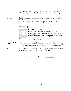Remember, acceptance does not guarantee your ultimate success in the FBI academy since you will still need to complete additional training and testing.

During this time you must be sure to keep quiet and prepare yourself for the job (this usually includes moving to another location). Always be honest in all that you do and be the best possible agent you can. Be honest

> If you're able to overcome and persevere, you are more than ready to be an international spy!



Special Tips for the FBI

Generally, most FBI agents have a college career in criminal justice, law and/or accounting. If you'd like to be ahead of the crowd, military experience is always a bonus, although you must have an honorable discharge (a

dishonorable one will disqualify you).

| <b>Foreign language</b><br>classes | You can also try taking foreign language classes in high school or college -<br>even taking them during the application process looks good to the agency<br>as it will help increase your chances when you take the language exam. |
|------------------------------------|------------------------------------------------------------------------------------------------------------------------------------------------------------------------------------------------------------------------------------|
| Against an descar                  | Aboye ell else evoid eny drug use Boing e soy requires ell vour feculties so                                                                                                                                                       |

Above all else, avoid any drug use. Being a spy requires all your faculties so try not to cloud them with unnecessary drugs and alcohol. Again: no drugs

For more information on the FBI please visit [www.fbi.gov](http://www.fbi.gov/)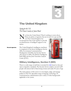# 3

# <span id="page-11-0"></span>The United Kingdom

# *Spying for the U.K. The Home Country of James Bond*

ot from the United States? There's nothing to worry about - There are plenty of agencies that are in need of a spy just like N

you! The United Kingdom has several agencies that work together to provide an infrastructure of intelligent support to the nation.

The United Kingdom's intelligence machinery is comprised of: the Secret Intelligence Service (SIS), Government Communications Headquarters (GCHQ), the Security Service (also known as MI5), the Defense Intelligence Staff (DIS) and the Joint Terrorism Analysis Centre (JTAC). Several agencies



# <span id="page-11-1"></span>Military Intelligence, Section 5 (MI5)

There is a wide range of staff that is recruited for **MI5** based on fair and open competitive standards. The Security Service employs around 2,200 people with almost half of them being women and under 40 years of age.

The main purpose of this sector is to investigate, judge, and manage policies in The UK. Specialists range in language, technology, IT, communications, administration and a variety of other backgrounds applicable to the system.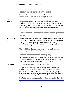#### <span id="page-12-0"></span>Secret Intelligence Service (SIS)

The Secret Intelligence Service is extremely selective. It is known for its forward-looking nature, but rooted history in tradition.

You are not only motivated but you deliver high-caliber work. Your background in work and life are full of achievement and you are supported by an array of constituents. Your skill set must be broad but ultimately specialized in an applicable field. Although there is no template for the staff, you must pass a nationality and security clearance to be considered. Select overachievers

# <span id="page-12-1"></span>Government Communications Headquarters (GCHQ)

If you're interested in working for an agency that plays a crucial role in the political, militaristic or economic well being of the UK, the GCHQ is for you. This agency requires a full range of skills and has a variety of possible career paths. You will need a degree from a higher educational institution with work experience. Well being of the UK

> The GCHQ bases their acceptance policy on core qualities such as service, integrity and commitment to success.

# <span id="page-12-2"></span>Defense Intelligence Staff (DIS)

Due to the nature of this agency, it is required that you are a national and pass a security clearance. This position requires a special loyalty to the nation, and generally requires military service experience.

Usually those who have lived abroad are selected. Live abroad!

> All applicants are also required to go through heavy testing before consideration or appointment of a position. Detailed questionnaires, discussions with officers and inquiries are open to all points of life. This level also requires the highest security clearance and is therefore the most comprehensive in analyzing and screening applicants.

For further information regarding United Kingdom agencies, please visit [http://www.cabinetoffice.gov.uk/security\\_and\\_intelligence/community.a](http://www.cabinetoffice.gov.uk/security_and_intelligence/community.aspx) [spx](http://www.cabinetoffice.gov.uk/security_and_intelligence/community.aspx)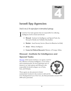# <span id="page-13-0"></span>Israeli Spy Agencies

# *Israel is one of the major players in international espionage.*

srael has four main agencies that are responsible for collecting intelligence both in Israel and abroad: I

- **Mossad** Institute for Intelligence and Special Tasks (ha-Mossad le-Modiin ule-Tafkidim Meyuhadim)
- **Shabak** Israel Secruity Service (Sherut ha-Bitachon ha Klali)
- **Aman** Military Intelligence
- **Center for Political Research**/Ministry of Foreign Affairs.

# <span id="page-13-1"></span>Mossad - Institute for Intelligence and Special Tasks

[Mossad,](http://www.topspysecrets.com/israeli-mossad.html) which means institute, is an agency used for the collection of human intelligence, covert action and counterterrorism. Its most important area of interest is on Arab nations and Mossad is also responsible for Jewish refugees out of Syria, Iran, and Ethiopia.

![](_page_13_Picture_10.jpeg)

These agents are also present in former

communistic locations in the western world and the UN. Headquartered out of Tel Aviv, the Mossad includes around 1500- 2000 active personnel.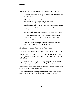Mossad has a total of eight departments, the most important being:

- Collections (deals with espionage operations, with diplomatic and unofficial cover)
- Political Action and Liaison Department (creates activities to interact with friendly foreign intelligence services)
- Special Operations Divison (also known as Metsada that conducts assignations, sabotage, paramilitary and psychological warfare projects)
- LAP (Lohamah Psichologit) Department (psychological warfare)
- Research Department (has 15 sectors that are specialized for situation reports, weekly summaries and other analysis that is relevant to Israel)
- Technology Department (produces and maintains specialized technology conducive to Mossad objectives).

# <span id="page-14-0"></span>Shabak - Israel Secruity Service

This agency is the Israeli counterintelligence and internal security service.

ISA employees are Israeli nationals with a commitment to democratic values. They are not exempt from the law and are held accountable for their actions.

All work is done under the guidance of core values that assist them in their professional and ethical decision-making. These values are commitment to their objective, leading by example, professional demeanor, and transparency in actions, friendship and cooperation both domestically and in friendly foreign affairs.

They are required to be loyal representatives of the Israeli nation and exhibit, discretion, circumspection and integrity while in office.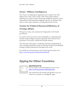# <span id="page-15-0"></span>Aman - Military Intelligence

The Aman is an independent organization that is equal to the other military forces with a staff of nearly 7,000. Their foreign relations department is in direct contact with foreign intelligence agencies, and are responsible for delivering daily intelligence reports, war estimates (and risks) as well as agent operations occurring abroad and at home.

# <span id="page-15-1"></span>Center for Political Research/Ministry of Foreign Affairs

This agency creates, uses and presents foreign policy of the Israeli government.

It is used to show how Israel is relevant globally, by cooperating with friendly foreign intelligence agencies (generally 160 countries) by the promotion of economic, cultural and scientific relations.

The main task of this agency is collecting, analyzing and appraising an array of political information under the Israeli government and ultimately creating a political infrastructure throughout the world.

If you'd like more information on these Israeli agencies, please visit <http://www.fas.org/irp/world/israel/index.html>

# <span id="page-15-2"></span>Spying for Other Countries

![](_page_15_Picture_9.jpeg)

#### Special Research Tip

If your country wasn't listed please be sure to visit: <http://www.fas.org/irp/world/index.html> Special Research Tip<br>
If your country wasn't listed please be sure to<br>
http://www.fas.org/irp/world/index.html<br>
This website lists all countries and agencies to<br>
started on your path as an intelligence agent.

This website lists all countries and agencies to get you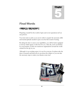# <span id="page-16-0"></span>Final Words

# *Gwind{"5WbinfXYag"*

Preparing yourself for the world of spies and covert operations isn't an easy process.

You must start as early as you can in order to acquire the necessary skills and mental aptitude needed to pass even the first round of testing.

By taking the time to assess your capabilities, you will be better equipped to choose which agency works best for you. After all, you're not limited by your location, as there are numerous organizations around the world created for the spy in you.

Although it is an exciting career, it is not for everyone. So please take the time to research and learn all you can about the subject so you can take the necessary steps to make your dreams come true!

![](_page_16_Picture_7.jpeg)